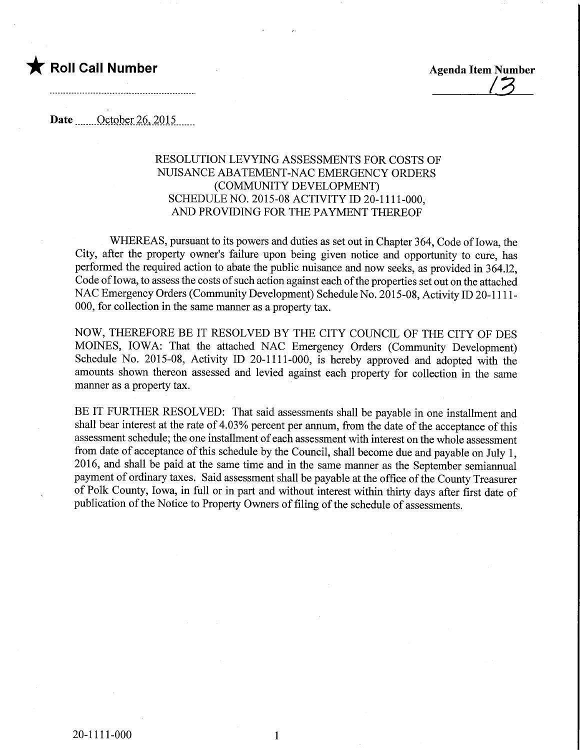

Roll Call Number<br>Agenda Item Number<br>Agenda Item Number

Date **October 26, 2015** 

## RESOLUTION LEVYING ASSESSMENTS FOR COSTS OF NUISANCE ABATEMENT-NAC EMERGENCY ORDERS (COMMUNITY DEVELOPMENT) SCHEDULE NO. 2015-08 ACTIVITY ID 20-1111-000, AND PROVIDING FOR THE PAYMENT THEREOF

WHEREAS, pursuant to its powers and duties as set out in Chapter 364, Code of Iowa, the City, after the property owner's failure upon being given notice and opportunity to cure, has performed the required action to abate the public nuisance and now seeks, as provided in 364.12, Code of Iowa, to assess the costs of such action against each of the properties set out on the attached NAC Emergency Orders (Community Development) Schedule No. 2015-08, Activity ID 20-1111- 000, for collection in the same manner as a property tax.

NOW, THEREFORE BE IT RESOLVED BY THE CITY COUNCIL OF THE CITY OF DES MOINES, IOWA: That the attached NAC Emergency Orders (Community Development) Schedule No. 2015-08, Activity ID 20-1111-000, is hereby approved and adopted with the amounts shown thereon assessed and levied against each property for collection in the same manner as a property tax.

BE IT FURTHER RESOLVED: That said assessments shall be payable in one installment and shall bear interest at the rate of 4.03% percent per annum, from the date of the acceptance of this assessment schedule; the one installment of each assessment with interest on the whole assessment from date of acceptance of this schedule by the Council, shall become due and payable on July 1, 2016, and shall be paid at the same time and in the same manner as the September semiannual payment of ordinary taxes. Said assessment shall be payable at the office of the County Treasurer of Polk County, Iowa, in full or in part and without interest within thirty days afiter first date of publication of the Notice to Property Owners of filing of the schedule of assessments.

 $\mathbf{1}$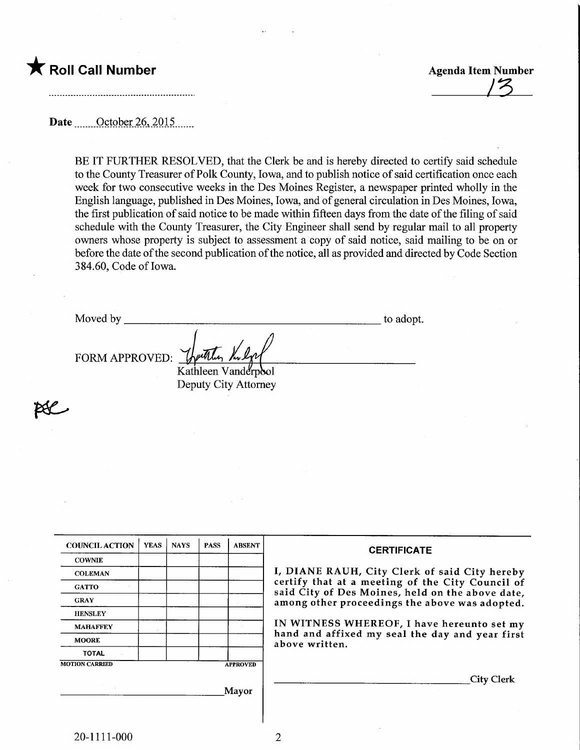## $\bigstar$  Roll Call Number

**Agenda Item Number** 

Date ........October 26,2015.

BE IT FURTHER RESOLVED, that the Clerk be and is hereby directed to certify said schedule to the County Treasurer of Polk County, Iowa, and to publish notice of said certification once each week for two consecutive weeks in the Des Moines Register, a newspaper printed wholly in the English language, published in Des Moines, Iowa, and of general circulation in Des Moines, Iowa, the first publication of said notice to be made within fifteen days from the date of the filing of said schedule with the County Treasurer, the City Engineer shall send by regular mail to all property owners whose property is subject to assessment a copy of said notice, said mailing to be on or before the date of the second publication of the notice, all as provided and directed by Code Section 3 84.60, Code of Iowa.

Moved by to adopt.

FORM APPROVED:

Kathleen Vanderpool Deputy City Attorney

 $p\ell$ 

| <b>COUNCIL ACTION</b> | <b>YEAS</b> | <b>NAYS</b> | <b>PASS</b> | <b>ABSENT</b>   | <b>CERTIFICATE</b>                                                                                   |
|-----------------------|-------------|-------------|-------------|-----------------|------------------------------------------------------------------------------------------------------|
| <b>COWNIE</b>         |             |             |             |                 |                                                                                                      |
| <b>COLEMAN</b>        |             |             |             |                 | I, DIANE RAUH, City Clerk of said City hereby                                                        |
| <b>GATTO</b>          |             |             |             |                 | certify that at a meeting of the City Council of<br>said City of Des Moines, held on the above date, |
| <b>GRAY</b>           |             |             |             |                 | among other proceedings the above was adopted.                                                       |
| <b>HENSLEY</b>        |             |             |             |                 |                                                                                                      |
| <b>MAHAFFEY</b>       |             |             |             |                 | IN WITNESS WHEREOF, I have hereunto set my                                                           |
| <b>MOORE</b>          |             |             |             |                 | hand and affixed my seal the day and year first<br>above written.                                    |
| <b>TOTAL</b>          |             |             |             |                 |                                                                                                      |
| <b>MOTION CARRIED</b> |             |             |             | <b>APPROVED</b> |                                                                                                      |
|                       |             |             |             |                 | <b>City Clerk</b>                                                                                    |
|                       |             |             |             | <b>Mayor</b>    |                                                                                                      |
|                       |             |             |             |                 |                                                                                                      |

 $\overline{2}$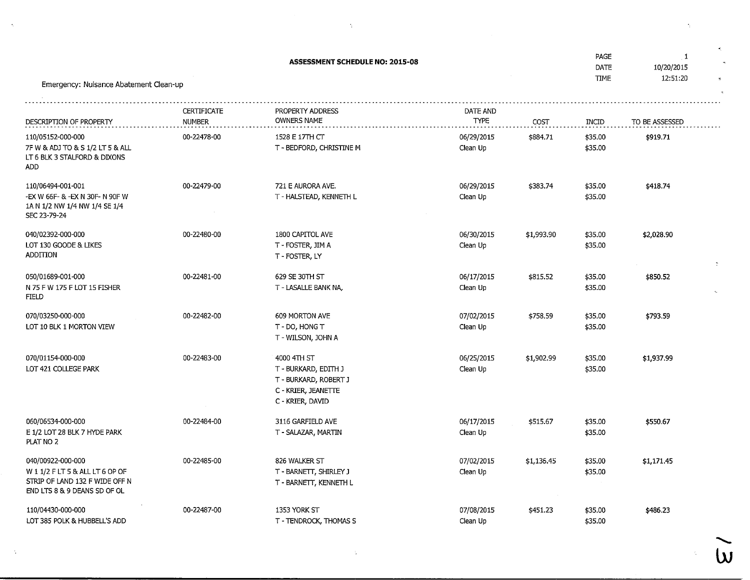| <b>ASSESSMENT SCHEDULE NO: 2015-08</b><br>Emergency: Nuisance Abatement Clean-up                                      |                              |                                                                                                         |                         |            |                    | 1<br>10/20/2015<br>12:51:20 |
|-----------------------------------------------------------------------------------------------------------------------|------------------------------|---------------------------------------------------------------------------------------------------------|-------------------------|------------|--------------------|-----------------------------|
| DESCRIPTION OF PROPERTY                                                                                               | CERTIFICATE<br><b>NUMBER</b> | PROPERTY ADDRESS<br><b>OWNERS NAME</b>                                                                  | DATE AND<br><b>TYPE</b> | COST       | INCID              | TO BE ASSESSED              |
| 110/05152-000-000<br>7F W & ADJ TO & S 1/2 LT 5 & ALL<br>LT 6 BLK 3 STALFORD & DIXONS<br>ADD                          | 00-22478-00                  | 1528 E 17TH CT<br>T - BEDFORD, CHRISTINE M                                                              | 06/29/2015<br>Clean Up  | \$884.71   | \$35.00<br>\$35.00 | \$919.71                    |
| 110/06494-001-001<br>-EX W 66F- & -EX N 30F- N 90F W<br>1A N 1/2 NW 1/4 NW 1/4 SE 1/4<br>SEC 23-79-24                 | 00-22479-00                  | 721 E AURORA AVE.<br>T - HALSTEAD, KENNETH L                                                            | 06/29/2015<br>Clean Up  | \$383.74   | \$35.00<br>\$35.00 | \$418.74                    |
| 040/02392-000-000<br>LOT 130 GOODE & LIKES<br>ADDITION                                                                | 00-22480-00                  | 1800 CAPITOL AVE<br>T - FOSTER, JIM A<br>T - FOSTER, LY                                                 | 06/30/2015<br>Clean Up  | \$1,993.90 | \$35.00<br>\$35.00 | \$2,028.90                  |
| 050/01689-001-000<br>N 75 F W 175 F LOT 15 FISHER<br><b>FIELD</b>                                                     | 00-22481-00                  | 629 SE 30TH ST<br>T - LASALLE BANK NA,                                                                  | 06/17/2015<br>Clean Up  | \$815.52   | \$35.00<br>\$35.00 | \$850.52                    |
| 070/03250-000-000<br>LOT 10 BLK 1 MORTON VIEW                                                                         | 00-22482-00                  | 609 MORTON AVE<br>T - DO, HONG T<br>T - WILSON, JOHN A                                                  | 07/02/2015<br>Clean Up  | \$758.59   | \$35.00<br>\$35.00 | \$793.59                    |
| 070/01154-000-000<br>LOT 421 COLLEGE PARK                                                                             | 00-22483-00                  | 4000 4TH ST<br>T - BURKARD, EDITH J<br>T - BURKARD, ROBERT J<br>C - KRIER, JEANETTE<br>C - KRIER, DAVID | 06/25/2015<br>Clean Up  | \$1,902.99 | \$35.00<br>\$35.00 | \$1,937.99                  |
| 060/06534-000-000<br>E 1/2 LOT 28 BLK 7 HYDE PARK<br>PLAT NO 2                                                        | 00-22484-00                  | 3116 GARFIELD AVE<br>T - SALAZAR, MARTIN                                                                | 06/17/2015<br>Clean Up  | \$515.67   | \$35.00<br>\$35.00 | \$550.67                    |
| 040/00922-000-000<br>W 1 1/2 FLT 5 & ALL LT 6 OP OF<br>STRIP OF LAND 132 F WIDE OFF N<br>END LTS 8 & 9 DEANS SD OF OL | 00-22485-00                  | 826 WALKER ST<br>T - BARNETT, SHIRLEY J<br>T - BARNETT, KENNETH L                                       | 07/02/2015<br>Clean Up  | \$1,136.45 | \$35.00<br>\$35.00 | \$1,171.45                  |
| 110/04430-000-000<br>LOT 385 POLK & HUBBELL'S ADD                                                                     | 00-22487-00                  | 1353 YORK ST<br>T - TENDROCK, THOMAS S                                                                  | 07/08/2015<br>Clean Up  | \$451.23   | \$35.00<br>\$35.00 | \$486.23                    |

 $\mathcal{O}(\sqrt{3})$  .

 $\hat{\gamma}$ 

 $\sim 6^{\circ}$ 

 $\widetilde{\omega}$ 

k,

 $\Delta_{\rm{eff}}$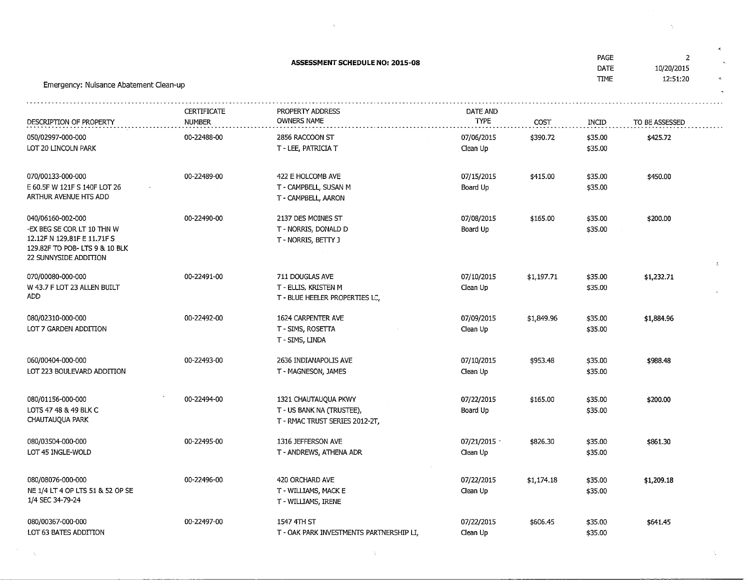| Emergency: Nuisance Abatement Clean-up                                                                                                   | <b>PAGE</b><br>DATE<br><b>TIME</b> | $\overline{2}$<br>10/20/2015<br>12:51:20                                            |                          |            |                    |                |
|------------------------------------------------------------------------------------------------------------------------------------------|------------------------------------|-------------------------------------------------------------------------------------|--------------------------|------------|--------------------|----------------|
| DESCRIPTION OF PROPERTY                                                                                                                  | CERTIFICATE<br><b>NUMBER</b>       | PROPERTY ADDRESS<br><b>OWNERS NAME</b>                                              | DATE AND<br><b>TYPE</b>  | COST       | INCID              | TO BE ASSESSED |
| 050/02997-000-000<br>LOT 20 LINCOLN PARK                                                                                                 | 00-22488-00                        | 2856 RACCOON ST<br>T - LEE, PATRICIA T                                              | 07/06/2015<br>Clean Up   | \$390.72   | \$35.00<br>\$35.00 | \$425.72       |
| 070/00133-000-000<br>E 60.5F W 121F S 140F LOT 26<br>ARTHUR AVENUE HTS ADD                                                               | 00-22489-00                        | 422 E HOLCOMB AVE<br>T - CAMPBELL, SUSAN M<br>T - CAMPBELL, AARON                   | 07/15/2015<br>Board Up   | \$415.00   | \$35.00<br>\$35.00 | \$450.00       |
| 040/06160-002-000<br>-EX BEG SE COR LT 10 THN W<br>12.12F N 129.81F E 11.71F S<br>129.82F TO POB-LTS 9 & 10 BLK<br>22 SUNNYSIDE ADDITION | 00-22490-00                        | 2137 DES MOINES ST<br>T - NORRIS, DONALD D<br>T - NORRIS, BETTY J                   | 07/08/2015<br>Board Up   | \$165.00   | \$35.00<br>\$35.00 | \$200.00       |
| 070/00080-000-000<br>W 43.7 F LOT 23 ALLEN BUILT<br>ADD.                                                                                 | 00-22491-00                        | 711 DOUGLAS AVE<br>T - ELLIS, KRISTEN M<br>T - BLUE HEELER PROPERTIES LC,           | 07/10/2015<br>Clean Up   | \$1,197.71 | \$35.00<br>\$35.00 | \$1,232.71     |
| 080/02310-000-000<br>LOT 7 GARDEN ADDITION                                                                                               | 00-22492-00                        | 1624 CARPENTER AVE<br>T - SIMS, ROSETTA<br>T - SIMS, LINDA                          | 07/09/2015<br>Clean Up   | \$1,849.96 | \$35.00<br>\$35.00 | \$1,884.96     |
| 060/00404-000-000<br>LOT 223 BOULEVARD ADDITION                                                                                          | 00-22493-00                        | 2636 INDIANAPOLIS AVE<br>T - MAGNESON, JAMES                                        | 07/10/2015<br>Clean Up   | \$953.48   | \$35.00<br>\$35.00 | \$988.48       |
| 080/01156-000-000<br>LOTS 47 48 & 49 BLK C<br>CHAUTAUQUA PARK                                                                            | 00-22494-00                        | 1321 CHAUTAUQUA PKWY<br>T - US BANK NA (TRUSTEE),<br>T - RMAC TRUST SERIES 2012-2T, | 07/22/2015<br>Board Up   | \$165.00   | \$35.00<br>\$35.00 | \$200.00       |
| 080/03504-000-000<br>LOT 45 INGLE-WOLD                                                                                                   | 00-22495-00                        | 1316 JEFFERSON AVE<br>T - ANDREWS, ATHENA ADR                                       | 07/21/2015 -<br>Clean Up | \$826.30   | \$35.00<br>\$35.00 | \$861.30       |
| 080/08076-000-000<br>NE 1/4 LT 4 OP LTS 51 & 52 OP SE<br>1/4 SEC 34-79-24                                                                | 00-22496-00                        | 420 ORCHARD AVE<br>T - WILLIAMS, MACK E<br>T - WILLIAMS, IRENE                      | 07/22/2015<br>Clean Up   | \$1,174.18 | \$35.00<br>\$35.00 | \$1,209.18     |
| 080/00367-000-000<br>LOT 63 BATES ADDITION                                                                                               | 00-22497-00                        | 1547 4TH ST<br>T - OAK PARK INVESTMENTS PARTNERSHIP LI,                             | 07/22/2015<br>Clean Up   | \$606.45   | \$35.00<br>\$35.00 | \$641.45       |

 $\sim 30\%$ 

 $\mathcal{O}(\frac{1}{2})$ 

 $\label{eq:2.1} \mathcal{L}(\mathcal{L}^{\text{max}}_{\mathcal{L}}(\mathcal{L}^{\text{max}}_{\mathcal{L}})) \leq \mathcal{L}(\mathcal{L}^{\text{max}}_{\mathcal{L}}(\mathcal{L}^{\text{max}}_{\mathcal{L}}))$ 

 $\mathcal{A}(\mathcal{A})$  .

 $\tau_{\rm eff}$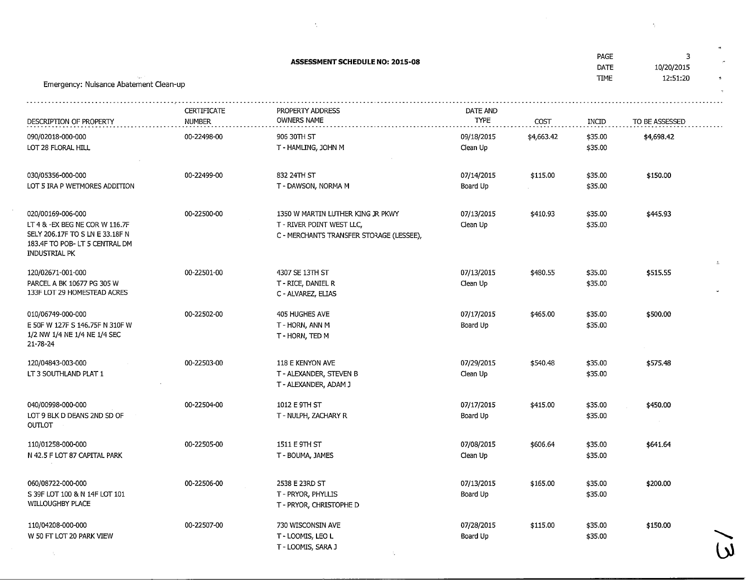| Emergency: Nuisance Abatement Clean-up                                                                                                   | PAGE<br>DATE<br><b>TIME</b>         | 3<br>10/20/2015<br>12:51:20                                                                                |                         |            |                    |                |   |
|------------------------------------------------------------------------------------------------------------------------------------------|-------------------------------------|------------------------------------------------------------------------------------------------------------|-------------------------|------------|--------------------|----------------|---|
| DESCRIPTION OF PROPERTY                                                                                                                  | <b>CERTIFICATE</b><br><b>NUMBER</b> | PROPERTY ADDRESS<br>OWNERS NAME                                                                            | DATE AND<br><b>TYPE</b> | COST       | INCID              | TO BE ASSESSED |   |
| 090/02018-000-000<br>LOT 28 FLORAL HILL                                                                                                  | 00-22498-00                         | 906 30TH ST<br>T - HAMLING, JOHN M                                                                         | 09/18/2015<br>Clean Up  | \$4,663.42 | \$35.00<br>\$35.00 | \$4,698.42     |   |
| 030/05356-000-000<br>LOT 5 IRA P WETMORES ADDITION                                                                                       | 00-22499-00                         | 832 24TH ST<br>T - DAWSON, NORMA M                                                                         | 07/14/2015<br>Board Up  | \$115.00   | \$35.00<br>\$35.00 | \$150.00       |   |
| 020/00169-006-000<br>LT 4 & -EX BEG NE COR W 116.7F<br>SELY 206.17F TO S LN E 33.18F N<br>183.4F TO POB-LT 5 CENTRAL DM<br>INDUSTRIAL PK | 00-22500-00                         | 1350 W MARTIN LUTHER KING JR PKWY<br>T - RIVER POINT WEST LLC,<br>C - MERCHANTS TRANSFER STORAGE (LESSEE), | 07/13/2015<br>Clean Up  | \$410.93   | \$35.00<br>\$35.00 | \$445.93       |   |
| 120/02671-001-000<br>PARCEL A BK 10677 PG 305 W<br>133F LOT 29 HOMESTEAD ACRES                                                           | 00-22501-00                         | 4307 SE 13TH ST<br>T - RICE, DANIEL R<br>C - ALVAREZ, ELIAS                                                | 07/13/2015<br>Clean Up  | \$480.55   | \$35.00<br>\$35.00 | \$515.55       | Δ |
| 010/06749-000-000<br>E 50F W 127F S 146.75F N 310F W<br>1/2 NW 1/4 NE 1/4 NE 1/4 SEC<br>21-78-24                                         | 00-22502-00                         | 405 HUGHES AVE<br>T - HORN, ANN M<br>T - HORN, TED M                                                       | 07/17/2015<br>Board Up  | \$465.00   | \$35.00<br>\$35.00 | \$500.00       |   |
| 120/04843-003-000<br>LT 3 SOUTHLAND PLAT 1                                                                                               | 00-22503-00                         | 118 E KENYON AVE<br>T - ALEXANDER, STEVEN B<br>T - ALEXANDER, ADAM J                                       | 07/29/2015<br>Clean Up  | \$540.48   | \$35.00<br>\$35.00 | \$575.48       |   |
| 040/00998-000-000<br>LOT 9 BLK D DEANS 2ND SD OF<br><b>OUTLOT</b>                                                                        | 00-22504-00                         | 1012 E 9TH ST<br>T - NULPH, ZACHARY R                                                                      | 07/17/2015<br>Board Up  | \$415.00   | \$35.00<br>\$35.00 | \$450.00       |   |
| 110/01258-000-000<br>N 42.5 F LOT 87 CAPITAL PARK                                                                                        | 00-22505-00                         | 1511 E 9TH ST<br>T - BOUMA, JAMES                                                                          | 07/08/2015<br>Clean Up  | \$606.64   | \$35.00<br>\$35.00 | \$641.64       |   |
| 060/08722-000-000<br>S 39F LOT 100 & N 14F LOT 101<br>WILLOUGHBY PLACE                                                                   | 00-22506-00                         | 2538 E 23RD ST<br>T - PRYOR, PHYLLIS<br>T - PRYOR, CHRISTOPHE D                                            | 07/13/2015<br>Board Up  | \$165.00   | \$35.00<br>\$35.00 | \$200.00       |   |
| 110/04208-000-000<br>W 50 FT LOT 20 PARK VIEW<br>-51                                                                                     | 00-22507-00                         | 730 WISCONSIN AVE<br>T-LOOMIS, LEO L<br>T - LOOMIS, SARA J                                                 | 07/28/2015<br>Board Up  | \$115.00   | \$35.00<br>\$35.00 | \$150.00       |   |

 $\label{eq:2.1} \mathcal{L}_{\mathcal{A}}(\mathcal{A}) = \mathcal{L}_{\mathcal{A}}(\mathcal{A}) = \mathcal{L}_{\mathcal{A}}(\mathcal{A}) = \mathcal{L}_{\mathcal{A}}(\mathcal{A})$ 

 $\mathcal{A}^{\mathcal{A}}$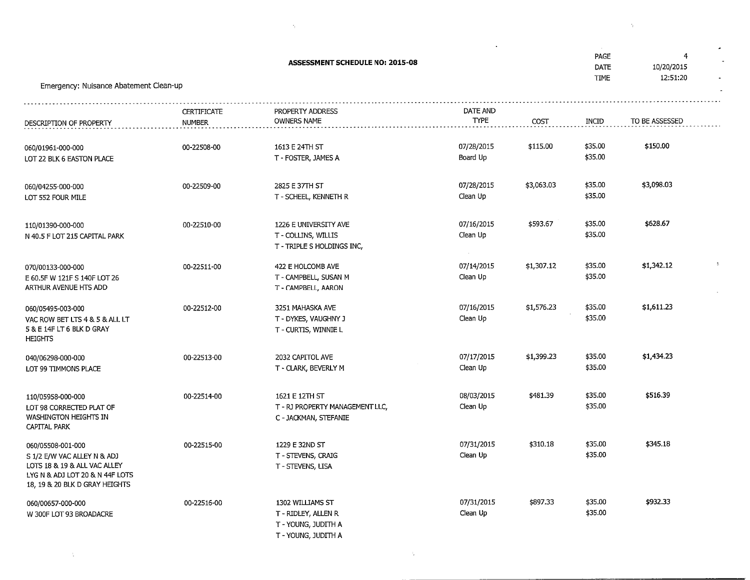| Emergency: Nuisance Abatement Clean-up                                                                                                                |                              |                                                                                       | PAGE<br>DATE<br><b>TIME</b>      | 4<br>10/20/2015<br>12:51:20 |                    |                |    |
|-------------------------------------------------------------------------------------------------------------------------------------------------------|------------------------------|---------------------------------------------------------------------------------------|----------------------------------|-----------------------------|--------------------|----------------|----|
| DESCRIPTION OF PROPERTY                                                                                                                               | <b>CERTIFICATE</b><br>NUMBER | PROPERTY ADDRESS<br><b>OWNERS NAME</b>                                                | DATE AND<br><b>TYPE</b>          | COST                        | INCID              | TO BE ASSESSED |    |
| 060/01961-000-000<br>LOT 22 BLK 6 EASTON PLACE                                                                                                        | 00-22508-00                  | 1613 E 24TH ST<br>T - FOSTER, JAMES A                                                 | 07/28/2015<br>Board Up           | \$115.00                    | \$35.00<br>\$35.00 | \$150.00       |    |
| 060/04255-000-000<br>LOT 552 FOUR MILE                                                                                                                | 00-22509-00                  | 2825 E 37TH ST<br>T - SCHEEL, KENNETH R                                               | 07/28/2015<br>Clean Up           | \$3,063.03                  | \$35.00<br>\$35.00 | \$3,098.03     |    |
| 110/01390-000-000<br>N 40.5 F LOT 215 CAPITAL PARK                                                                                                    | 00-22510-00                  | 1226 E UNIVERSITY AVE<br>T - COLLINS, WILLIS<br>T - TRIPLE S HOLDINGS INC,            | 07/16/2015<br>Clean Up<br>$\sim$ | \$593.67                    | \$35.00<br>\$35.00 | \$628.67       |    |
| 070/00133-000-000<br>E 60.5F W 121F S 140F LOT 26<br>ARTHUR AVENUE HTS ADD                                                                            | 00-22511-00                  | 422 E HOLCOMB AVE<br>T - CAMPBELL, SUSAN M<br>T - CAMPBELL, AARON                     | 07/14/2015<br>Clean Up           | \$1,307.12                  | \$35.00<br>\$35.00 | \$1,342.12     | ž, |
| 060/05495-003-000<br>VAC ROW BET LTS 4 & 5 & ALL LT<br>5 & E 14F LT 6 BLK D GRAY<br><b>HEIGHTS</b>                                                    | 00-22512-00                  | 3251 MAHASKA AVE<br>T - DYKES, VAUGHNY J<br>T - CURTIS, WINNIE L                      | 07/16/2015<br>Clean Up           | \$1,576.23                  | \$35.00<br>\$35.00 | \$1,611.23     |    |
| 040/06298-000-000<br>LOT 99 TIMMONS PLACE                                                                                                             | 00-22513-00                  | 2032 CAPITOL AVE<br>T - CLARK, BEVERLY M                                              | 07/17/2015<br>Clean Up           | \$1,399.23                  | \$35.00<br>\$35.00 | \$1,434.23     |    |
| 110/05958-000-000<br>LOT 98 CORRECTED PLAT OF<br>WASHINGTON HEIGHTS IN<br>CAPITAL PARK                                                                | 00-22514-00                  | 1621 E 12TH ST<br>T - RJ PROPERTY MANAGEMENT LLC,<br>C - JACKMAN, STEFANIE            | 08/03/2015<br>Clean Up           | \$481.39                    | \$35.00<br>\$35.00 | \$516.39       |    |
| 060/05508-001-000<br>S 1/2 E/W VAC ALLEY N & ADJ<br>LOTS 18 & 19 & ALL VAC ALLEY<br>LYG N & ADJ LOT 20 & N 44F LOTS<br>18, 19 & 20 BLK D GRAY HEIGHTS | 00-22515-00                  | 1229 E 32ND ST<br>T - STEVENS, CRAIG<br>T - STEVENS, LISA                             | 07/31/2015<br>Clean Up           | \$310.18                    | \$35.00<br>\$35.00 | \$345.18       |    |
| 060/00657-000-000<br>W 300F LOT 93 BROADACRE                                                                                                          | 00-22516-00                  | 1302 WILLIAMS ST<br>T - RIDLEY, ALLEN R<br>T - YOUNG, JUDITH A<br>T - YOUNG, JUDITH A | 07/31/2015<br>Clean Up           | \$897.33                    | \$35.00<br>\$35.00 | \$932.33       |    |

 $\label{eq:2.1} \mathcal{L} = \frac{1}{2} \sum_{i=1}^n \frac{1}{2} \sum_{j=1}^n \frac{1}{2} \sum_{j=1}^n \frac{1}{2} \sum_{j=1}^n \frac{1}{2} \sum_{j=1}^n \frac{1}{2} \sum_{j=1}^n \frac{1}{2} \sum_{j=1}^n \frac{1}{2} \sum_{j=1}^n \frac{1}{2} \sum_{j=1}^n \frac{1}{2} \sum_{j=1}^n \frac{1}{2} \sum_{j=1}^n \frac{1}{2} \sum_{j=1}^n \frac{1}{2} \sum_{j=$ 

 $\Delta \sim$ 

 $\label{eq:2.1} \mathcal{L}(\mathcal{L}^{\mathcal{L}}_{\mathcal{L}}(\mathcal{L}^{\mathcal{L}}_{\mathcal{L}})) = \mathcal{L}(\mathcal{L}^{\mathcal{L}}_{\mathcal{L}}(\mathcal{L}^{\mathcal{L}}_{\mathcal{L}})) = \mathcal{L}(\mathcal{L}^{\mathcal{L}}_{\mathcal{L}}(\mathcal{L}^{\mathcal{L}}_{\mathcal{L}}))$ 

 $\mathcal{O}(\mathcal{A}^{\mathrm{c}})$  . As  $\mathcal{O}(\mathcal{A}^{\mathrm{c}})$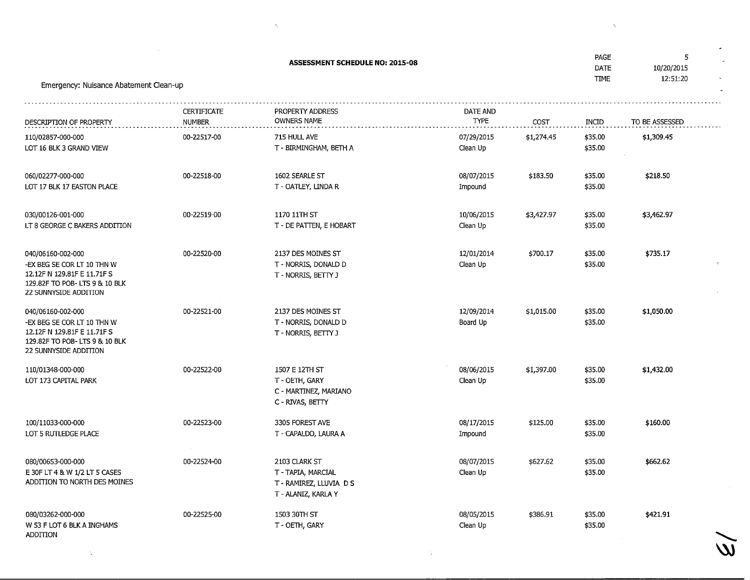| <b>ASSESSMENT SCHEDULE NO: 2015-08</b><br>Emergency: Nuisance Abatement Clean-up                                                          |                                     |                                                                                       |                         |                    |                    | 5<br>10/20/2015<br>12:51:20 |
|-------------------------------------------------------------------------------------------------------------------------------------------|-------------------------------------|---------------------------------------------------------------------------------------|-------------------------|--------------------|--------------------|-----------------------------|
|                                                                                                                                           | <b>CERTIFICATE</b><br><b>NUMBER</b> | PROPERTY ADDRESS<br><b>OWNERS NAME</b>                                                | DATE AND<br><b>TYPE</b> |                    | INCID              | TO BE ASSESSED              |
| DESCRIPTION OF PROPERTY<br>110/02857-000-000<br>LOT 16 BLK 3 GRAND VIEW                                                                   | 00-22517-00                         | 715 HULL AVE<br>T - BIRMINGHAM, BETH A                                                | 07/29/2015<br>Clean Up  | COST<br>\$1,274.45 | \$35.00<br>\$35.00 | \$1,309.45                  |
| 060/02277-000-000<br>LOT 17 BLK 17 EASTON PLACE                                                                                           | 00-22518-00                         | 1602 SEARLE ST<br>T - OATLEY, LINDA R                                                 | 08/07/2015<br>Impound   | \$183.50           | \$35.00<br>\$35.00 | \$218.50                    |
| 030/00126-001-000<br>LT 8 GEORGE C BAKERS ADDITION                                                                                        | 00-22519-00                         | 1170 11TH ST<br>T - DE PATTEN, E HOBART                                               | 10/06/2015<br>Clean Up  | \$3,427.97         | \$35.00<br>\$35.00 | \$3,462.97                  |
| 040/06160-002-000<br>-EX BEG SE COR LT 10 THN W<br>12.12F N 129.81F E 11.71F S<br>129.82F TO POB- LTS 9 & 10 BLK<br>22 SUNNYSIDE ADDITION | 00-22520-00                         | 2137 DES MOINES ST<br>T - NORRIS, DONALD D<br>T - NORRIS, BETTY J                     | 12/01/2014<br>Clean Up  | \$700.17           | \$35.00<br>\$35.00 | \$735.17                    |
| 040/06160-002-000<br>-EX BEG SE COR LT 10 THN W<br>12.12F N 129.81F E 11.71F S<br>129.82F TO POB- LTS 9 & 10 BLK<br>22 SUNNYSIDE ADDITION | 00-22521-00                         | 2137 DES MOINES ST<br>T - NORRIS, DONALD D<br>T - NORRIS, BETTY J                     | 12/09/2014<br>Board Up  | \$1,015.00         | \$35.00<br>\$35.00 | \$1,050.00                  |
| 110/01348-000-000<br>LOT 173 CAPITAL PARK                                                                                                 | 00-22522-00                         | 1507 E 12TH ST<br>T - OETH, GARY<br>C - MARTINEZ, MARIANO<br>C - RIVAS, BETTY         | 08/06/2015<br>Clean Up  | \$1,397.00         | \$35.00<br>\$35.00 | \$1,432.00                  |
| 100/11033-000-000<br>LOT 5 RUTLEDGE PLACE                                                                                                 | 00-22523-00                         | 3305 FOREST AVE<br>T - CAPALDO, LAURA A                                               | 08/17/2015<br>Impound   | \$125.00           | \$35.00<br>\$35.00 | \$160.00                    |
| 080/00653-000-000<br>E 30F LT 4 & W 1/2 LT 5 CASES<br>ADDITION TO NORTH DES MOINES                                                        | 00-22524-00                         | 2103 CLARK ST<br>T - TAPIA, MARCIAL<br>T - RAMIREZ, LLUVIA D S<br>T - ALANIZ, KARLA Y | 08/07/2015<br>Clean Up  | \$627.62           | \$35.00<br>\$35.00 | \$662.62                    |
| 080/03262-000-000<br>W 53 F LOT 6 BLK A INGHAMS<br>ADDITION                                                                               | 00-22525-00                         | 1503 30TH ST<br>T - OETH, GARY                                                        | 08/05/2015<br>Clean Up  | \$386.91           | \$35.00<br>\$35.00 | \$421.91                    |

 $\mathcal{L}^{\text{max}}_{\text{max}}$  ,  $\mathcal{L}^{\text{max}}_{\text{max}}$ 

 $\label{eq:2.1} \mathcal{L}(\mathcal{L}^{\text{max}}_{\mathcal{L}}(\mathcal{L}^{\text{max}}_{\mathcal{L}})) \leq \mathcal{L}(\mathcal{L}^{\text{max}}_{\mathcal{L}}(\mathcal{L}^{\text{max}}_{\mathcal{L}})) \leq \mathcal{L}(\mathcal{L}^{\text{max}}_{\mathcal{L}}(\mathcal{L}^{\text{max}}_{\mathcal{L}}))$ 

 $\widetilde{\mathsf{w}}$ 

 $\label{eq:2.1} \nabla_{\theta} \left( \left\langle \hat{f} \right\rangle \right) = \nabla_{\theta} \left( \hat{f} \right) = \nabla_{\theta} \left( \hat{f} \right) = \nabla_{\theta} \left( \hat{f} \right)$ 

 $\mathcal{L}(\mathbf{Q})$  .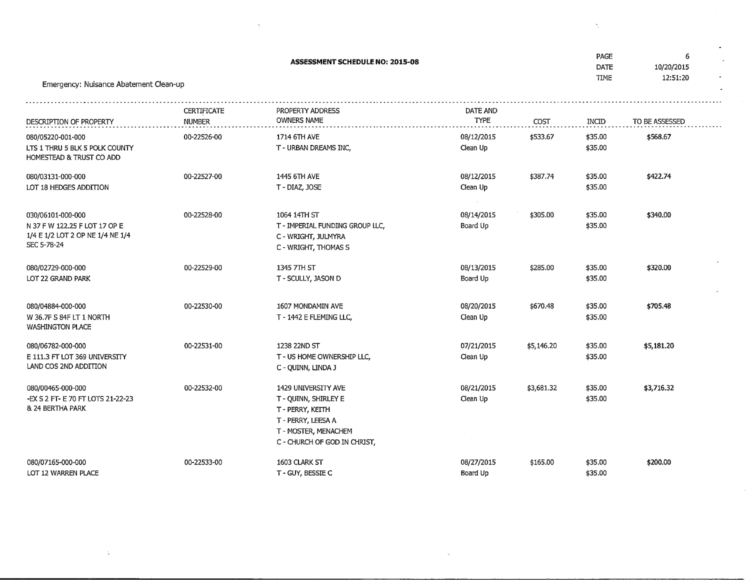| Emergency: Nuisance Abatement Clean-up                                                                | PAGE<br><b>DATE</b><br><b>TIME</b> | 6<br>10/20/2015<br>12:51:20                                                                                                                   |                         |            |                    |                |
|-------------------------------------------------------------------------------------------------------|------------------------------------|-----------------------------------------------------------------------------------------------------------------------------------------------|-------------------------|------------|--------------------|----------------|
| DESCRIPTION OF PROPERTY                                                                               | CERTIFICATE<br><b>NUMBER</b>       | PROPERTY ADDRESS<br><b>OWNERS NAME</b>                                                                                                        | DATE AND<br><b>TYPE</b> | COST       | INCID              | TO BE ASSESSED |
| 080/05220-001-000<br>LTS 1 THRU 5 BLK 5 POLK COUNTY<br>HOMESTEAD & TRUST CO ADD                       | 00-22526-00                        | 1714 6TH AVE<br>T - URBAN DREAMS INC,                                                                                                         | 08/12/2015<br>Clean Up  | \$533.67   | \$35.00<br>\$35.00 | \$568.67       |
| 080/03131-000-000<br>LOT 18 HEDGES ADDITION                                                           | 00-22527-00                        | 1445 6TH AVE<br>T - DIAZ, JOSE                                                                                                                | 08/12/2015<br>Clean Up  | \$387.74   | \$35.00<br>\$35.00 | \$422.74       |
| 030/06101-000-000<br>N 37 F W 122.25 F LOT 17 OP E<br>1/4 E 1/2 LOT 2 OP NE 1/4 NE 1/4<br>SEC 5-78-24 | 00-22528-00                        | 1064 14TH ST<br>T - IMPERIAL FUNDING GROUP LLC,<br>C - WRIGHT, JULMYRA<br>C - WRIGHT, THOMAS S                                                | 08/14/2015<br>Board Up  | \$305.00   | \$35.00<br>\$35.00 | \$340.00       |
| 080/02729-000-000<br>LOT 22 GRAND PARK                                                                | 00-22529-00                        | 1345 7TH ST<br>T - SCULLY, JASON D                                                                                                            | 08/13/2015<br>Board Up  | \$285.00   | \$35.00<br>\$35.00 | \$320.00       |
| 080/04884-000-000<br>W 36.7F S 84F LT 1 NORTH<br><b>WASHINGTON PLACE</b>                              | 00-22530-00                        | 1607 MONDAMIN AVE<br>T - 1442 E FLEMING LLC,                                                                                                  | 08/20/2015<br>Clean Up  | \$670.48   | \$35.00<br>\$35.00 | \$705.48       |
| 080/06782-000-000<br>E 111.3 FT LOT 369 UNIVERSITY<br>LAND COS 2ND ADDITION                           | 00-22531-00                        | 1238 22ND ST<br>T - US HOME OWNERSHIP LLC,<br>C - QUINN, LINDA J                                                                              | 07/21/2015<br>Clean Up  | \$5,146.20 | \$35.00<br>\$35.00 | \$5,181.20     |
| 080/00465-000-000<br>-EX S 2 FT- E 70 FT LOTS 21-22-23<br>& 24 BERTHA PARK                            | 00-22532-00                        | 1429 UNIVERSITY AVE<br>T - QUINN, SHIRLEY E<br>T - PERRY, KEITH<br>T - PERRY, LEESA A<br>T - MOSTER, MENACHEM<br>C - CHURCH OF GOD IN CHRIST, | 08/21/2015<br>Clean Up  | \$3,681.32 | \$35.00<br>\$35.00 | \$3,716.32     |
| 080/07165-000-000<br>LOT 12 WARREN PLACE                                                              | 00-22533-00                        | 1603 CLARK ST<br>T - GUY, BESSIE C                                                                                                            | 08/27/2015<br>Board Up  | \$165.00   | \$35.00<br>\$35.00 | \$200.00       |

 $\Delta_{\rm{eff}}$ 

 $\mathcal{L}^{\mathcal{L}}(\mathcal{M})$  and  $\mathcal{L}^{\mathcal{L}}(\mathcal{M})$  and

 $\sim$ 

 $\label{eq:2.1} \frac{1}{\sqrt{2\pi}}\int_{\mathbb{R}^3}\frac{1}{\sqrt{2\pi}}\int_{\mathbb{R}^3}\frac{1}{\sqrt{2\pi}}\int_{\mathbb{R}^3}\frac{1}{\sqrt{2\pi}}\int_{\mathbb{R}^3}\frac{1}{\sqrt{2\pi}}\int_{\mathbb{R}^3}\frac{1}{\sqrt{2\pi}}\int_{\mathbb{R}^3}\frac{1}{\sqrt{2\pi}}\int_{\mathbb{R}^3}\frac{1}{\sqrt{2\pi}}\int_{\mathbb{R}^3}\frac{1}{\sqrt{2\pi}}\int_{\mathbb{R}^3}\frac{1$ 

 $\mathcal{L}^{\pm}$